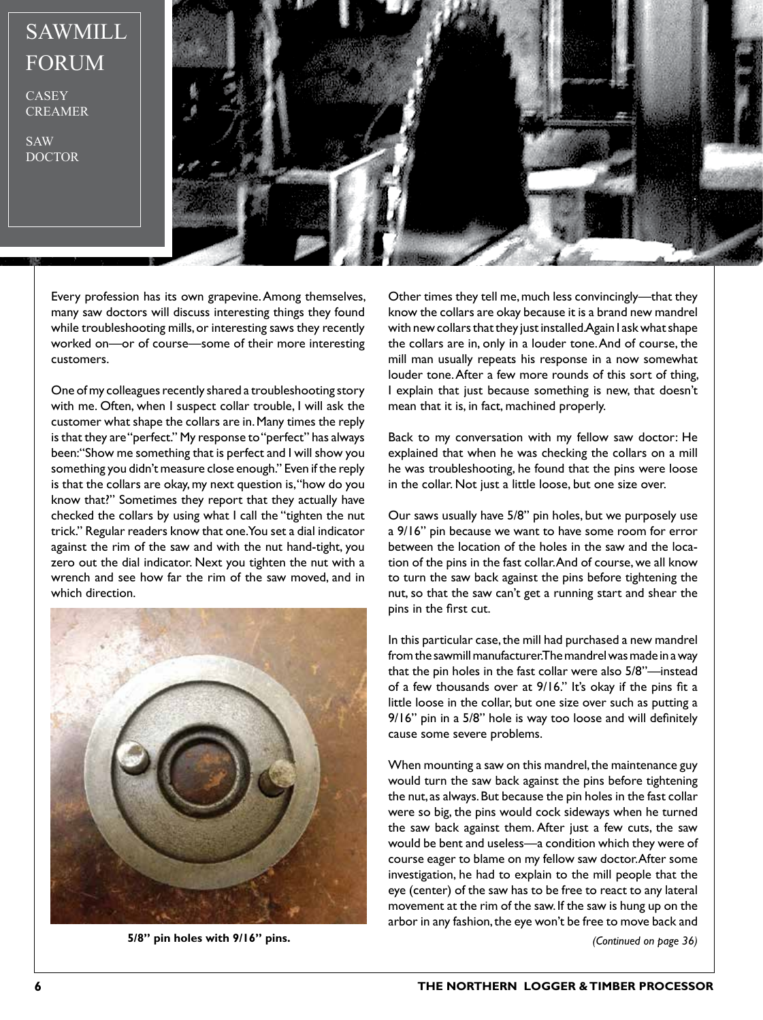## SAWMILL FORUM

**CASEY** CREAMER

SAW DOCTOR



Every profession has its own grapevine. Among themselves, many saw doctors will discuss interesting things they found while troubleshooting mills, or interesting saws they recently worked on—or of course—some of their more interesting customers.

One of my colleagues recently shared a troubleshooting story with me. Often, when I suspect collar trouble, I will ask the customer what shape the collars are in. Many times the reply is that they are "perfect." My response to "perfect" has always been: "Show me something that is perfect and I will show you something you didn't measure close enough." Even if the reply is that the collars are okay, my next question is, "how do you know that?" Sometimes they report that they actually have checked the collars by using what I call the "tighten the nut trick." Regular readers know that one. You set a dial indicator against the rim of the saw and with the nut hand-tight, you zero out the dial indicator. Next you tighten the nut with a wrench and see how far the rim of the saw moved, and in which direction.



**5/8" pin holes with 9/16" pins.** *(Continued on page 36)*

Other times they tell me, much less convincingly—that they know the collars are okay because it is a brand new mandrel with new collars that they just installed. Again I ask what shape the collars are in, only in a louder tone. And of course, the mill man usually repeats his response in a now somewhat louder tone. After a few more rounds of this sort of thing, I explain that just because something is new, that doesn't mean that it is, in fact, machined properly.

Back to my conversation with my fellow saw doctor: He explained that when he was checking the collars on a mill he was troubleshooting, he found that the pins were loose in the collar. Not just a little loose, but one size over.

Our saws usually have 5/8" pin holes, but we purposely use a 9/16" pin because we want to have some room for error between the location of the holes in the saw and the location of the pins in the fast collar. And of course, we all know to turn the saw back against the pins before tightening the nut, so that the saw can't get a running start and shear the pins in the first cut.

In this particular case, the mill had purchased a new mandrel from the sawmill manufacturer. The mandrel was made in a way that the pin holes in the fast collar were also 5/8"—instead of a few thousands over at 9/16." It's okay if the pins fit a little loose in the collar, but one size over such as putting a 9/16" pin in a 5/8" hole is way too loose and will definitely cause some severe problems.

When mounting a saw on this mandrel, the maintenance guy would turn the saw back against the pins before tightening the nut, as always. But because the pin holes in the fast collar were so big, the pins would cock sideways when he turned the saw back against them. After just a few cuts, the saw would be bent and useless—a condition which they were of course eager to blame on my fellow saw doctor. After some investigation, he had to explain to the mill people that the eye (center) of the saw has to be free to react to any lateral movement at the rim of the saw. If the saw is hung up on the arbor in any fashion, the eye won't be free to move back and